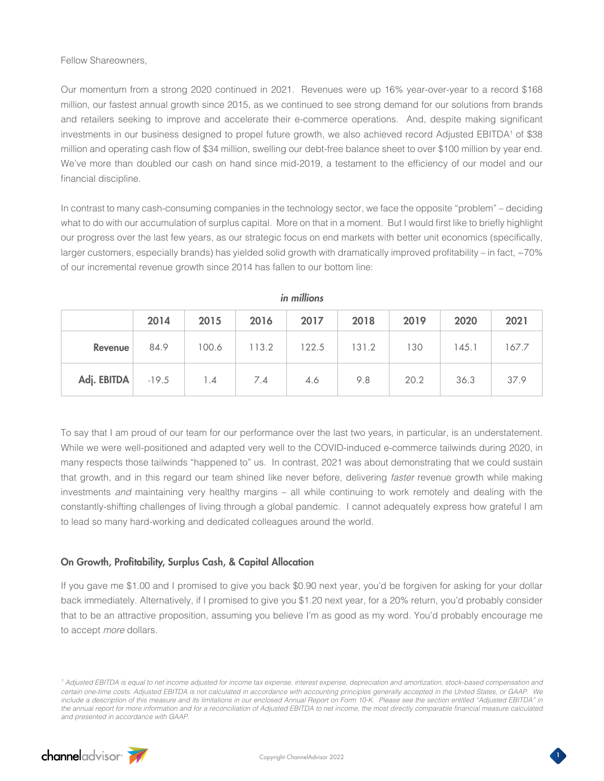Fellow Shareowners,

Our momentum from a strong 2020 continued in 2021. Revenues were up 16% year-over-year to a record \$168 million, our fastest annual growth since 2015, as we continued to see strong demand for our solutions from brands and retailers seeking to improve and accelerate their e-commerce operations. And, despite making significant investments in our business designed to propel future growth, we also achieved record Adjusted EBITDA<sup>1</sup> of \$38 million and operating cash flow of \$34 million, swelling our debt-free balance sheet to over \$100 million by year end. We've more than doubled our cash on hand since mid-2019, a testament to the efficiency of our model and our financial discipline.

In contrast to many cash-consuming companies in the technology sector, we face the opposite "problem" – deciding what to do with our accumulation of surplus capital. More on that in a moment. But I would first like to briefly highlight our progress over the last few years, as our strategic focus on end markets with better unit economics (specifically, larger customers, especially brands) has yielded solid growth with dramatically improved profitability – in fact, ~70% of our incremental revenue growth since 2014 has fallen to our bottom line:

|                     | 2014 | 2015  | 2016  | 2017  | 2018  | 2019 | 2020  | 2021  |
|---------------------|------|-------|-------|-------|-------|------|-------|-------|
| Revenue             | 84.9 | 100.6 | 113.2 | 122.5 | 131.2 | 130  | 145.1 | 167.7 |
| Adj. EBITDA $-19.5$ |      | 1.4   | 7.4   | 4.6   | 9.8   | 20.2 | 36.3  | 37.9  |

*in millions*

To say that I am proud of our team for our performance over the last two years, in particular, is an understatement. While we were well-positioned and adapted very well to the COVID-induced e-commerce tailwinds during 2020, in many respects those tailwinds "happened to" us. In contrast, 2021 was about demonstrating that we could sustain that growth, and in this regard our team shined like never before, delivering *faster* revenue growth while making investments *and* maintaining very healthy margins – all while continuing to work remotely and dealing with the constantly-shifting challenges of living through a global pandemic. I cannot adequately express how grateful I am to lead so many hard-working and dedicated colleagues around the world.

## On Growth, Profitability, Surplus Cash, & Capital Allocation

If you gave me \$1.00 and I promised to give you back \$0.90 next year, you'd be forgiven for asking for your dollar back immediately. Alternatively, if I promised to give you \$1.20 next year, for a 20% return, you'd probably consider that to be an attractive proposition, assuming you believe I'm as good as my word. You'd probably encourage me to accept *more* dollars.

<sup>&</sup>lt;sup>1</sup> Adjusted EBITDA is equal to net income adjusted for income tax expense, interest expense, depreciation and amortization, stock-based compensation and *certain one-time costs. Adjusted EBITDA is not calculated in accordance with accounting principles generally accepted in the United States, or GAAP. We include a description of this measure and its limitations in our enclosed Annual Report on Form 10-K. Please see the section entitled "Adjusted EBITDA" in*  the annual report for more information and for a reconciliation of Adjusted EBITDA to net income, the most directly comparable financial measure calculated *and presented in accordance with GAAP.*